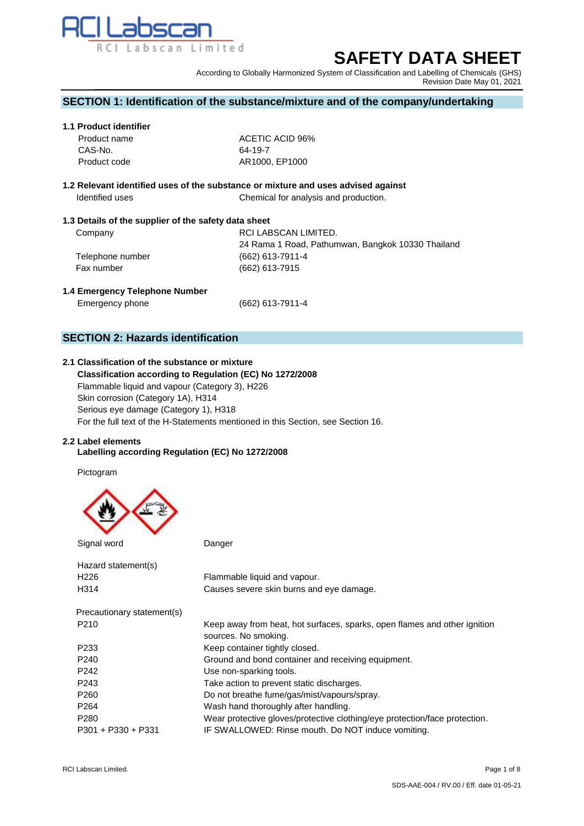

# **SAFETY DATA SHEET**

According to Globally Harmonized System of Classification and Labelling of Chemicals (GHS) Revision Date May 01, 2021

## **SECTION 1: Identification of the substance/mixture and of the company/undertaking**

## **1.1 Product identifier**

| Product name | ACETIC ACID 96% |
|--------------|-----------------|
| CAS-No.      | 64-19-7         |
| Product code | AR1000, EP1000  |

## **1.2 Relevant identified uses of the substance or mixture and uses advised against Identified uses** Chemical for analysis and production.

## **1.3 Details of the supplier of the safety data sheet**

| Company          | RCI LABSCAN LIMITED.                              |
|------------------|---------------------------------------------------|
|                  | 24 Rama 1 Road, Pathumwan, Bangkok 10330 Thailand |
| Telephone number | (662) 613-7911-4                                  |
| Fax number       | (662) 613-7915                                    |

## **1.4 Emergency Telephone Number**

Emergency phone (662) 613-7911-4

## **SECTION 2: Hazards identification**

## **2.1 Classification of the substance or mixture**

 **Classification according to Regulation (EC) No 1272/2008** Flammable liquid and vapour (Category 3), H226 Skin corrosion (Category 1A), H314 Serious eye damage (Category 1), H318 For the full text of the H-Statements mentioned in this Section, see Section 16.

## **2.2 Label elements**

## **Labelling according Regulation (EC) No 1272/2008**

Pictogram



 Signal wordDanger Hazard statement(s)<br>H226 Flammable liquid and vapour. H314 Causes severe skin burns and eye damage. Precautionary statement(s) P210 Keep away from heat, hot surfaces, sparks, open flames and other ignition sources. No smoking. P233 Keep container tightly closed. P240 Ground and bond container and receiving equipment. P242 Use non-sparking tools. P243 Take action to prevent static discharges. P260 Do not breathe fume/gas/mist/vapours/spray. P264 Wash hand thoroughly after handling. P280 Wear protective gloves/protective clothing/eye protection/face protection. P301 + P330 + P331 IF SWALLOWED: Rinse mouth. Do NOT induce vomiting.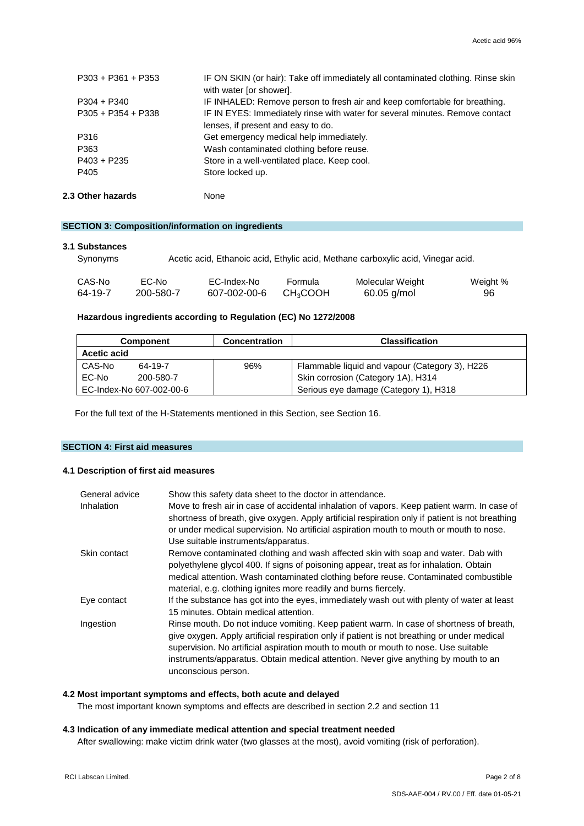| 2.3 Other hazards    | None                                                                                                        |
|----------------------|-------------------------------------------------------------------------------------------------------------|
| P405                 | Store locked up.                                                                                            |
| $P403 + P235$        | Store in a well-ventilated place. Keep cool.                                                                |
| P363                 | Wash contaminated clothing before reuse.                                                                    |
| P316                 | Get emergency medical help immediately.                                                                     |
|                      | lenses, if present and easy to do.                                                                          |
| $P305 + P354 + P338$ | IF IN EYES: Immediately rinse with water for several minutes. Remove contact                                |
| $P304 + P340$        | IF INHALED: Remove person to fresh air and keep comfortable for breathing.                                  |
| $P303 + P361 + P353$ | IF ON SKIN (or hair): Take off immediately all contaminated clothing. Rinse skin<br>with water [or shower]. |
|                      |                                                                                                             |

**SECTION 3: Composition/information on ingredients**

#### **3.1 Substances**

| Synonyms |           | Acetic acid, Ethanoic acid, Ethylic acid, Methane carboxylic acid, Vinegar acid. |                           |                  |          |
|----------|-----------|----------------------------------------------------------------------------------|---------------------------|------------------|----------|
| CAS-No   | EC-No     | EC-Index-No                                                                      | Formula                   | Molecular Weight | Weight % |
| 64-19-7  | 200-580-7 | 607-002-00-6                                                                     | <b>CH<sub>3</sub>COOH</b> | $60.05$ g/mol    | 96       |

## **Hazardous ingredients according to Regulation (EC) No 1272/2008**

| <b>Component</b>   |                          | <b>Concentration</b> | <b>Classification</b>                          |
|--------------------|--------------------------|----------------------|------------------------------------------------|
| <b>Acetic acid</b> |                          |                      |                                                |
| CAS-No             | 64-19-7                  | 96%                  | Flammable liquid and vapour (Category 3), H226 |
| EC-No              | 200-580-7                |                      | Skin corrosion (Category 1A), H314             |
|                    | EC-Index-No 607-002-00-6 |                      | Serious eye damage (Category 1), H318          |

For the full text of the H-Statements mentioned in this Section, see Section 16.

## **SECTION 4: First aid measures**

## **4.1 Description of first aid measures**

| General advice | Show this safety data sheet to the doctor in attendance.                                                                                                                                                                                                                                                                                                                                    |
|----------------|---------------------------------------------------------------------------------------------------------------------------------------------------------------------------------------------------------------------------------------------------------------------------------------------------------------------------------------------------------------------------------------------|
| Inhalation     | Move to fresh air in case of accidental inhalation of vapors. Keep patient warm. In case of<br>shortness of breath, give oxygen. Apply artificial respiration only if patient is not breathing<br>or under medical supervision. No artificial aspiration mouth to mouth or mouth to nose.<br>Use suitable instruments/apparatus.                                                            |
| Skin contact   | Remove contaminated clothing and wash affected skin with soap and water. Dab with<br>polyethylene glycol 400. If signs of poisoning appear, treat as for inhalation. Obtain<br>medical attention. Wash contaminated clothing before reuse. Contaminated combustible<br>material, e.g. clothing ignites more readily and burns fiercely.                                                     |
| Eye contact    | If the substance has got into the eyes, immediately wash out with plenty of water at least<br>15 minutes. Obtain medical attention.                                                                                                                                                                                                                                                         |
| Ingestion      | Rinse mouth. Do not induce vomiting. Keep patient warm. In case of shortness of breath,<br>give oxygen. Apply artificial respiration only if patient is not breathing or under medical<br>supervision. No artificial aspiration mouth to mouth or mouth to nose. Use suitable<br>instruments/apparatus. Obtain medical attention. Never give anything by mouth to an<br>unconscious person. |

## **4.2 Most important symptoms and effects, both acute and delayed**

The most important known symptoms and effects are described in section 2.2 and section 11

### **4.3 Indication of any immediate medical attention and special treatment needed**

After swallowing: make victim drink water (two glasses at the most), avoid vomiting (risk of perforation).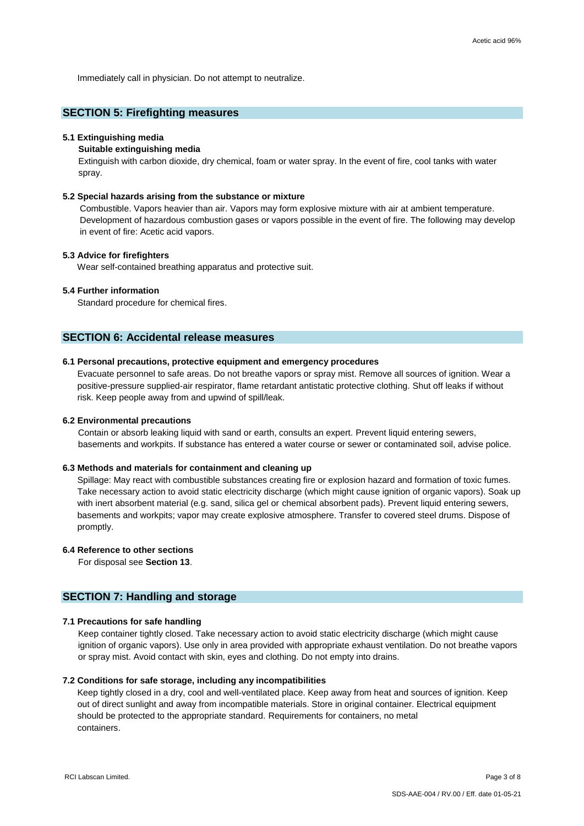Immediately call in physician. Do not attempt to neutralize.

## **SECTION 5: Firefighting measures**

#### **5.1 Extinguishing media**

#### **Suitable extinguishing media**

Extinguish with carbon dioxide, dry chemical, foam or water spray. In the event of fire, cool tanks with water spray.

### **5.2 Special hazards arising from the substance or mixture**

Combustible. Vapors heavier than air. Vapors may form explosive mixture with air at ambient temperature. Development of hazardous combustion gases or vapors possible in the event of fire. The following may develop in event of fire: Acetic acid vapors.

### **5.3 Advice for firefighters**

Wear self-contained breathing apparatus and protective suit.

## **5.4 Further information**

Standard procedure for chemical fires.

## **SECTION 6: Accidental release measures**

## **6.1 Personal precautions, protective equipment and emergency procedures**

Evacuate personnel to safe areas. Do not breathe vapors or spray mist. Remove all sources of ignition. Wear a positive-pressure supplied-air respirator, flame retardant antistatic protective clothing. Shut off leaks if without risk. Keep people away from and upwind of spill/leak.

#### **6.2 Environmental precautions**

Contain or absorb leaking liquid with sand or earth, consults an expert. Prevent liquid entering sewers, basements and workpits. If substance has entered a water course or sewer or contaminated soil, advise police.

#### **6.3 Methods and materials for containment and cleaning up**

Spillage: May react with combustible substances creating fire or explosion hazard and formation of toxic fumes. Take necessary action to avoid static electricity discharge (which might cause ignition of organic vapors). Soak up with inert absorbent material (e.g. sand, silica gel or chemical absorbent pads). Prevent liquid entering sewers, basements and workpits; vapor may create explosive atmosphere. Transfer to covered steel drums. Dispose of promptly.

## **6.4 Reference to other sections**

For disposal see **Section 13**.

## **SECTION 7: Handling and storage**

#### **7.1 Precautions for safe handling**

Keep container tightly closed. Take necessary action to avoid static electricity discharge (which might cause ignition of organic vapors). Use only in area provided with appropriate exhaust ventilation. Do not breathe vapors or spray mist. Avoid contact with skin, eyes and clothing. Do not empty into drains.

#### **7.2 Conditions for safe storage, including any incompatibilities**

Keep tightly closed in a dry, cool and well-ventilated place. Keep away from heat and sources of ignition. Keep out of direct sunlight and away from incompatible materials. Store in original container. Electrical equipment should be protected to the appropriate standard. Requirements for containers, no metal containers.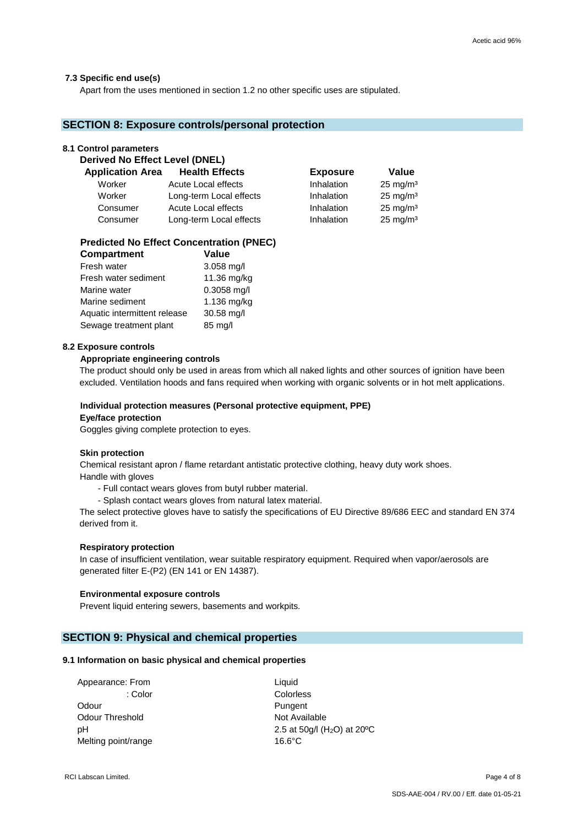## **7.3 Specific end use(s)**

Apart from the uses mentioned in section 1.2 no other specific uses are stipulated.

## **SECTION 8: Exposure controls/personal protection**

### **8.1 Control parameters**

| 0. 1 001111 01 parameters             |                         |                 |                     |
|---------------------------------------|-------------------------|-----------------|---------------------|
| <b>Derived No Effect Level (DNEL)</b> |                         |                 |                     |
| <b>Application Area</b>               | <b>Health Effects</b>   | <b>Exposure</b> | Value               |
| Worker                                | Acute Local effects     | Inhalation      | $25 \text{ mg/m}^3$ |
| Worker                                | Long-term Local effects | Inhalation      | $25 \text{ mg/m}^3$ |
| Consumer                              | Acute Local effects     | Inhalation      | $25 \text{ mg/m}^3$ |
| Consumer                              | Long-term Local effects | Inhalation      | $25 \text{ mg/m}^3$ |

#### **Predicted No Effect Concentration (PNEC) Compartment Value**

| compartment                  | value         |
|------------------------------|---------------|
| Fresh water                  | $3.058$ mg/l  |
| Fresh water sediment         | 11.36 mg/kg   |
| Marine water                 | $0.3058$ mg/l |
| Marine sediment              | 1.136 mg/kg   |
| Aquatic intermittent release | 30.58 mg/l    |
| Sewage treatment plant       | 85 mg/l       |

### **8.2 Exposure controls**

## **Appropriate engineering controls**

The product should only be used in areas from which all naked lights and other sources of ignition have been excluded. Ventilation hoods and fans required when working with organic solvents or in hot melt applications.

## **Individual protection measures (Personal protective equipment, PPE) Eye/face protection**

Goggles giving complete protection to eyes.

#### **Skin protection**

 Chemical resistant apron / flame retardant antistatic protective clothing, heavy duty work shoes. Handle with gloves

- Full contact wears gloves from butyl rubber material.
- Splash contact wears gloves from natural latex material.

The select protective gloves have to satisfy the specifications of EU Directive 89/686 EEC and standard EN 374 derived from it.

#### **Respiratory protection**

In case of insufficient ventilation, wear suitable respiratory equipment. Required when vapor/aerosols are generated filter E-(P2) (EN 141 or EN 14387).

#### **Environmental exposure controls**

Prevent liquid entering sewers, basements and workpits.

## **SECTION 9: Physical and chemical properties**

#### **9.1 Information on basic physical and chemical properties**

| Appearance: From    | Liquid                                               |
|---------------------|------------------------------------------------------|
| : Color             | Colorless                                            |
| Odour               | Pungent                                              |
| Odour Threshold     | Not Available                                        |
| рH                  | 2.5 at 50g/l (H <sub>2</sub> O) at 20 <sup>o</sup> C |
| Melting point/range | $16.6^{\circ}$ C                                     |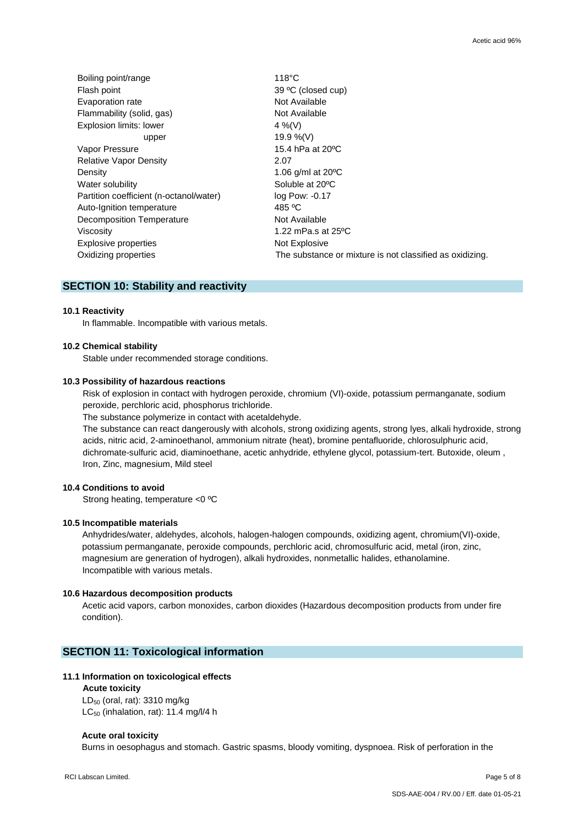| Boiling point/range                     | $118^{\circ}$ C                                          |
|-----------------------------------------|----------------------------------------------------------|
| Flash point                             | 39 °C (closed cup)                                       |
| Evaporation rate                        | Not Available                                            |
| Flammability (solid, gas)               | Not Available                                            |
| Explosion limits: lower                 | 4 %(V)                                                   |
| upper                                   | 19.9 %(V)                                                |
| Vapor Pressure                          | 15.4 hPa at 20 °C                                        |
| <b>Relative Vapor Density</b>           | 2.07                                                     |
| Density                                 | 1.06 g/ml at 20°C                                        |
| Water solubility                        | Soluble at 20°C                                          |
| Partition coefficient (n-octanol/water) | log Pow: -0.17                                           |
| Auto-Ignition temperature               | 485 °C                                                   |
| Decomposition Temperature               | Not Available                                            |
| Viscosity                               | 1.22 mPa.s at $25^{\circ}$ C                             |
| <b>Explosive properties</b>             | Not Explosive                                            |
| Oxidizing properties                    | The substance or mixture is not classified as oxidizing. |

## **SECTION 10: Stability and reactivity**

#### **10.1 Reactivity**

In flammable. Incompatible with various metals.

## **10.2 Chemical stability**

Stable under recommended storage conditions.

## **10.3 Possibility of hazardous reactions**

Risk of explosion in contact with hydrogen peroxide, chromium (VI)-oxide, potassium permanganate, sodium peroxide, perchloric acid, phosphorus trichloride.

The substance polymerize in contact with acetaldehyde.

The substance can react dangerously with alcohols, strong oxidizing agents, strong lyes, alkali hydroxide, strong acids, nitric acid, 2-aminoethanol, ammonium nitrate (heat), bromine pentafluoride, chlorosulphuric acid, dichromate-sulfuric acid, diaminoethane, acetic anhydride, ethylene glycol, potassium-tert. Butoxide, oleum , Iron, Zinc, magnesium, Mild steel

## **10.4 Conditions to avoid**

Strong heating, temperature <0 ºC

#### **10.5 Incompatible materials**

 Anhydrides/water, aldehydes, alcohols, halogen-halogen compounds, oxidizing agent, chromium(VI)-oxide, potassium permanganate, peroxide compounds, perchloric acid, chromosulfuric acid, metal (iron, zinc, magnesium are generation of hydrogen), alkali hydroxides, nonmetallic halides, ethanolamine. Incompatible with various metals.

#### **10.6 Hazardous decomposition products**

 Acetic acid vapors, carbon monoxides, carbon dioxides (Hazardous decomposition products from under fire condition).

## **SECTION 11: Toxicological information**

#### **11.1 Information on toxicological effects**

## **Acute toxicity**

 LD<sup>50</sup> (oral, rat): 3310 mg/kg LC<sub>50</sub> (inhalation, rat): 11.4 mg/l/4 h

#### **Acute oral toxicity**

Burns in oesophagus and stomach. Gastric spasms, bloody vomiting, dyspnoea. Risk of perforation in the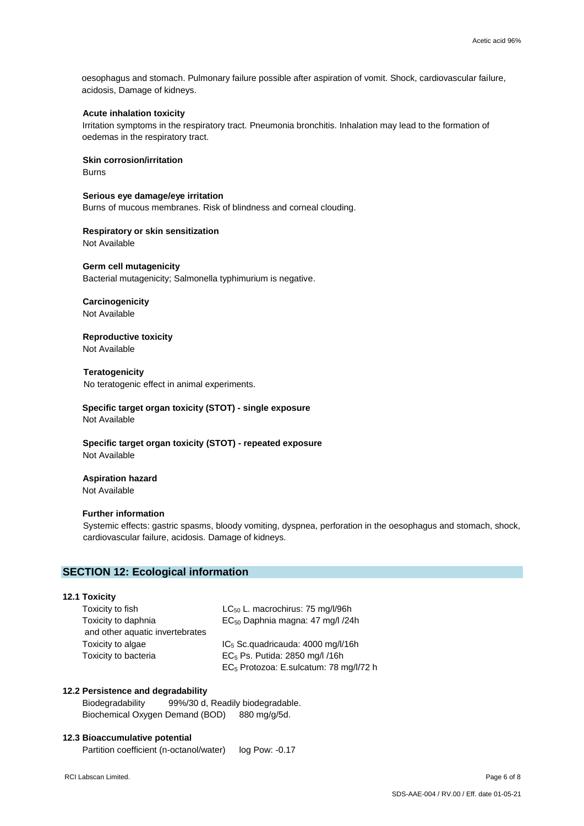oesophagus and stomach. Pulmonary failure possible after aspiration of vomit. Shock, cardiovascular failure, acidosis, Damage of kidneys.

## **Acute inhalation toxicity**

Irritation symptoms in the respiratory tract. Pneumonia bronchitis. Inhalation may lead to the formation of oedemas in the respiratory tract.

**Skin corrosion/irritation**

Burns

**Serious eye damage/eye irritation**

Burns of mucous membranes. Risk of blindness and corneal clouding.

**Respiratory or skin sensitization** Not Available

**Germ cell mutagenicity**

Bacterial mutagenicity; Salmonella typhimurium is negative.

## **Carcinogenicity**

Not Available

**Reproductive toxicity**

Not Available

**Teratogenicity**

No teratogenic effect in animal experiments.

 **Specific target organ toxicity (STOT) - single exposure** Not Available

**Specific target organ toxicity (STOT) - repeated exposure** Not Available

## **Aspiration hazard**

Not Available

## **Further information**

Systemic effects: gastric spasms, bloody vomiting, dyspnea, perforation in the oesophagus and stomach, shock, cardiovascular failure, acidosis. Damage of kidneys.

## **SECTION 12: Ecological information**

## **12.1 Toxicity**

| Toxicity to fish                | $LC_{50}$ L. macrochirus: 75 mg/l/96h              |
|---------------------------------|----------------------------------------------------|
| Toxicity to daphnia             | EC <sub>50</sub> Daphnia magna: 47 mg/l /24h       |
| and other aquatic invertebrates |                                                    |
| Toxicity to algae               | $IC5$ Sc. quadricauda: 4000 mg/l/16h               |
| Toxicity to bacteria            | EC <sub>5</sub> Ps. Putida: 2850 mg/l /16h         |
|                                 | EC <sub>5</sub> Protozoa: E.sulcatum: 78 mg/l/72 h |

## **12.2 Persistence and degradability**

 Biodegradability 99%/30 d, Readily biodegradable. Biochemical Oxygen Demand (BOD) 880 mg/g/5d.

## **12.3 Bioaccumulative potential**

Partition coefficient (n-octanol/water) log Pow: -0.17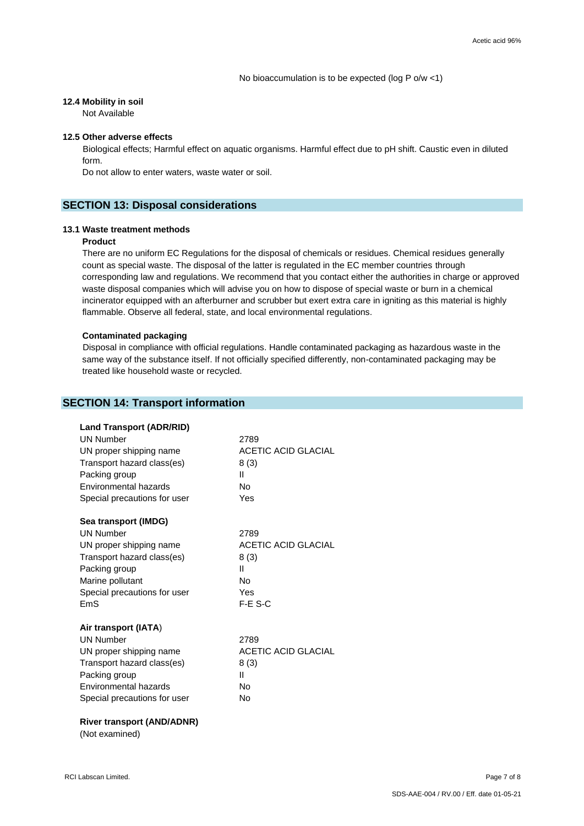## **12.4 Mobility in soil**

Not Available

## **12.5 Other adverse effects**

 Biological effects; Harmful effect on aquatic organisms. Harmful effect due to pH shift. Caustic even in diluted form.

Do not allow to enter waters, waste water or soil.

## **SECTION 13: Disposal considerations**

#### **13.1 Waste treatment methods**

## **Product**

 There are no uniform EC Regulations for the disposal of chemicals or residues. Chemical residues generally count as special waste. The disposal of the latter is regulated in the EC member countries through corresponding law and regulations. We recommend that you contact either the authorities in charge or approved waste disposal companies which will advise you on how to dispose of special waste or burn in a chemical incinerator equipped with an afterburner and scrubber but exert extra care in igniting as this material is highly flammable. Observe all federal, state, and local environmental regulations.

#### **Contaminated packaging**

 Disposal in compliance with official regulations. Handle contaminated packaging as hazardous waste in the same way of the substance itself. If not officially specified differently, non-contaminated packaging may be treated like household waste or recycled.

## **SECTION 14: Transport information Land Transport (ADR/RID)**  UN Number 2789 UN proper shipping name **ACETIC ACID GLACIAL** Transport hazard class(es) 8 (3) Packing group **III** Environmental hazards No Special precautions for user The Yes  **Sea transport (IMDG)** UN Number 2789 UN proper shipping name **ACETIC ACID GLACIAL** Transport hazard class(es) 8 (3) Packing group **III** Marine pollutant No Special precautions for user Yes EmS F-E S-C  **Air transport (IATA**) UN Number 2789 UN proper shipping name **ACETIC ACID GLACIAL** Transport hazard class(es)  $8(3)$ Packing group **III** Environmental hazards No Special precautions for user Mo  **River transport (AND/ADNR)** (Not examined)